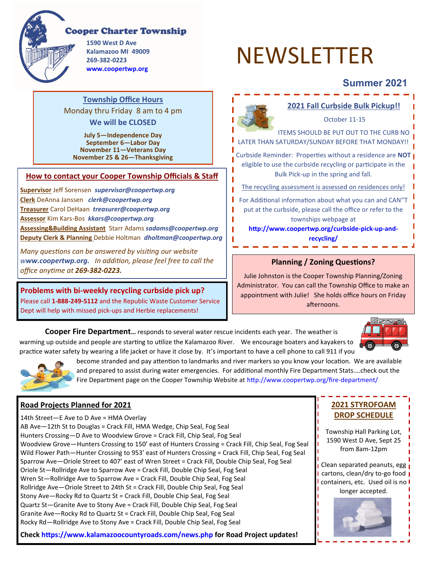

## **Cooper Charter Township**

**1590 West D Ave Kalamazoo MI 49009 269-382-0223 www.coopertwp.org**

# NEWSLETTER

# **Summer 2021**

### **Township Office Hours**  Monday thru Friday 8 am to 4 pm **We will be CLOSED**

**July 5—Independence Day September 6—Labor Day November 11—Veterans Day November 25 & 26—Thanksgiving**

#### **How to contact your Cooper Township Officials & Staff**

**Supervisor** Jeff Sorensen *supervisor@coopertwp.org*  **Clerk** DeAnna Janssen *clerk@coopertwp.org* **Treasurer** Carol DeHaan *treasurer@coopertwp.org*  **Assessor** Kim Kars-Bos *kkars@coopertwp.org*  **Assessing&Building Assistant** Starr Adams *sadams@coopertwp.org*  **Deputy Clerk & Planning** Debbie Holtman *dholtman@coopertwp.org* 

*Many questions can be answered by visiting our website www.coopertwp.org. In addition, please feel free to call the office anytime at 269-382-0223.*

**Problems with bi-weekly recycling curbside pick up?**  Please call **1-888-249-5112** and the Republic Waste Customer Service Dept will help with missed pick-ups and Herbie replacements!



#### **Planning / Zoning Questions?**

Julie Johnston is the Cooper Township Planning/Zoning Administrator. You can call the Township Office to make an appointment with Julie! She holds office hours on Friday afternoons.

**Cooper Fire Department…** responds to several water rescue incidents each year. The weather is warming up outside and people are starting to utilize the Kalamazoo River. We encourage boaters and kayakers to practice water safety by wearing a life jacket or have it close by. It's important to have a cell phone to call 911 if you



**2021 STYROFOAM DROP SCHEDULE** 

from 8am-12pm

longer accepted.



become stranded and pay attention to landmarks and river markers so you know your location. We are available and prepared to assist during water emergencies. For additional monthly Fire Department Stats….check out the Fire Department page on the Cooper Township Website at http://www.coopertwp.org/fire-department/

T П

#### **Road Projects Planned for 2021**

Township Hall Parking Lot, 1590 West D Ave, Sept 25 Clean separated peanuts, egg cartons, clean/dry to-go food | containers, etc. Used oil is no I 14th Street—E Ave to D Ave = HMA Overlay AB Ave—12th St to Douglas = Crack Fill, HMA Wedge, Chip Seal, Fog Seal Hunters Crossing—D Ave to Woodview Grove = Crack Fill, Chip Seal, Fog Seal Woodview Grove—Hunters Crossing to 150' east of Hunters Crossing = Crack Fill, Chip Seal, Fog Seal Wild Flower Path—Hunter Crossing to 953' east of Hunters Crossing = Crack Fill, Chip Seal, Fog Seal Sparrow Ave—Oriole Street to 407' east of Wren Street = Crack Fill, Double Chip Seal, Fog Seal Oriole St—Rollridge Ave to Sparrow Ave = Crack Fill, Double Chip Seal, Fog Seal Wren St—Rollridge Ave to Sparrow Ave = Crack Fill, Double Chip Seal, Fog Seal Rollridge Ave—Oriole Street to 24th St = Crack Fill, Double Chip Seal, Fog Seal Stony Ave—Rocky Rd to Quartz St = Crack Fill, Double Chip Seal, Fog Seal Quartz St—Granite Ave to Stony Ave = Crack Fill, Double Chip Seal, Fog Seal Granite Ave—Rocky Rd to Quartz St = Crack Fill, Double Chip Seal, Fog Seal Rocky Rd—Rollridge Ave to Stony Ave = Crack Fill, Double Chip Seal, Fog Seal

**Check https://www.kalamazoocountyroads.com/news.php for Road Project updates!**